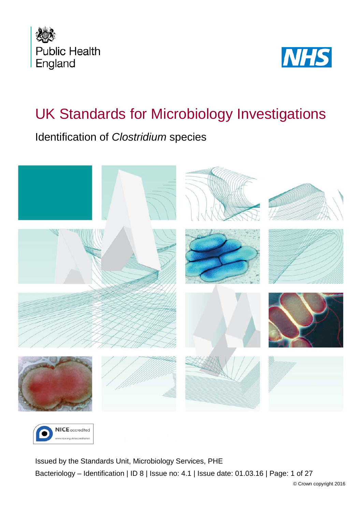



# UK Standards for Microbiology Investigations

Identification of *Clostridium* species





<span id="page-0-0"></span>Issued by the Standards Unit, Microbiology Services, PHE Bacteriology – Identification | ID 8 | Issue no: 4.1 | Issue date: 01.03.16 | Page: 1 of 27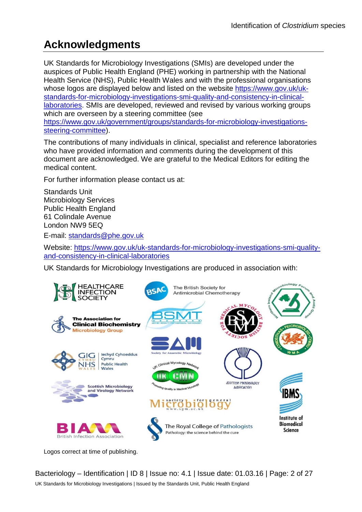## **Acknowledgments**

UK Standards for Microbiology Investigations (SMIs) are developed under the auspices of Public Health England (PHE) working in partnership with the National Health Service (NHS), Public Health Wales and with the professional organisations whose logos are displayed below and listed on the website [https://www.gov.uk/uk](https://www.gov.uk/uk-standards-for-microbiology-investigations-smi-quality-and-consistency-in-clinical-laboratories)[standards-for-microbiology-investigations-smi-quality-and-consistency-in-clinical](https://www.gov.uk/uk-standards-for-microbiology-investigations-smi-quality-and-consistency-in-clinical-laboratories)[laboratories.](https://www.gov.uk/uk-standards-for-microbiology-investigations-smi-quality-and-consistency-in-clinical-laboratories) SMIs are developed, reviewed and revised by various working groups which are overseen by a steering committee (see [https://www.gov.uk/government/groups/standards-for-microbiology-investigations](https://www.gov.uk/government/groups/standards-for-microbiology-investigations-steering-committee)[steering-committee\)](https://www.gov.uk/government/groups/standards-for-microbiology-investigations-steering-committee).

The contributions of many individuals in clinical, specialist and reference laboratories who have provided information and comments during the development of this document are acknowledged. We are grateful to the Medical Editors for editing the medical content.

For further information please contact us at:

Standards Unit Microbiology Services Public Health England 61 Colindale Avenue London NW9 5EQ

E-mail: [standards@phe.gov.uk](mailto:standards@phe.gov.uk)

Website: [https://www.gov.uk/uk-standards-for-microbiology-investigations-smi-quality](https://www.gov.uk/uk-standards-for-microbiology-investigations-smi-quality-and-consistency-in-clinical-laboratories)[and-consistency-in-clinical-laboratories](https://www.gov.uk/uk-standards-for-microbiology-investigations-smi-quality-and-consistency-in-clinical-laboratories)

UK Standards for Microbiology Investigations are produced in association with:



Logos correct at time of publishing.

Bacteriology – Identification | ID 8 | Issue no: 4.1 | Issue date: 01.03.16 | Page: 2 of 27 UK Standards for Microbiology Investigations | Issued by the Standards Unit, Public Health England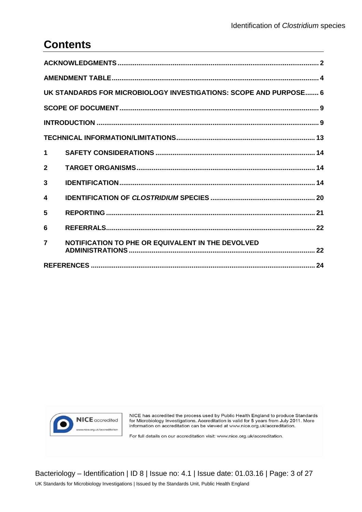## **Contents**

|                         | UK STANDARDS FOR MICROBIOLOGY INVESTIGATIONS: SCOPE AND PURPOSE 6 |  |  |  |  |
|-------------------------|-------------------------------------------------------------------|--|--|--|--|
|                         |                                                                   |  |  |  |  |
|                         |                                                                   |  |  |  |  |
|                         |                                                                   |  |  |  |  |
| 1                       |                                                                   |  |  |  |  |
| $\mathbf{2}$            |                                                                   |  |  |  |  |
| 3                       |                                                                   |  |  |  |  |
| 4                       |                                                                   |  |  |  |  |
| 5                       |                                                                   |  |  |  |  |
| 6                       |                                                                   |  |  |  |  |
| $\overline{\mathbf{z}}$ | NOTIFICATION TO PHE OR EQUIVALENT IN THE DEVOLVED                 |  |  |  |  |
|                         |                                                                   |  |  |  |  |



NICE has accredited the process used by Public Health England to produce Standards<br>for Microbiology Investigations. Accreditation is valid for 5 years from July 2011. More<br>information on accreditation can be viewed at www.

For full details on our accreditation visit: www.nice.org.uk/accreditation.

Bacteriology - Identification | ID 8 | Issue no: 4.1 | Issue date: 01.03.16 | Page: 3 of 27 UK Standards for Microbiology Investigations | Issued by the Standards Unit, Public Health England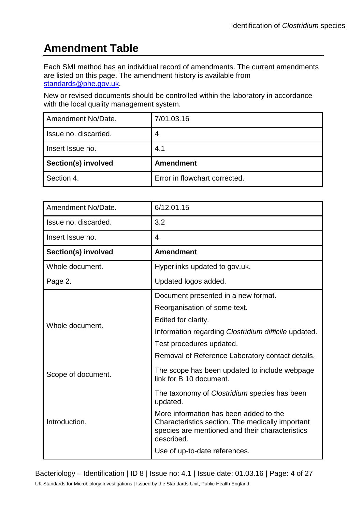## **Amendment Table**

Each SMI method has an individual record of amendments. The current amendments are listed on this page. The amendment history is available from [standards@phe.gov.uk.](mailto:standards@phe.gov.uk)

New or revised documents should be controlled within the laboratory in accordance with the local quality management system.

| Amendment No/Date.         | 7/01.03.16                    |
|----------------------------|-------------------------------|
| Issue no. discarded.       | 4                             |
| Insert Issue no.           | 4.1                           |
| <b>Section(s) involved</b> | <b>Amendment</b>              |
| Section 4.                 | Error in flowchart corrected. |

| Amendment No/Date.   | 6/12.01.15                                                                                                                                                  |
|----------------------|-------------------------------------------------------------------------------------------------------------------------------------------------------------|
| Issue no. discarded. | 3.2                                                                                                                                                         |
| Insert Issue no.     | $\overline{\mathbf{4}}$                                                                                                                                     |
| Section(s) involved  | <b>Amendment</b>                                                                                                                                            |
| Whole document.      | Hyperlinks updated to gov.uk.                                                                                                                               |
| Page 2.              | Updated logos added.                                                                                                                                        |
|                      | Document presented in a new format.                                                                                                                         |
|                      | Reorganisation of some text.                                                                                                                                |
| Whole document.      | Edited for clarity.                                                                                                                                         |
|                      | Information regarding Clostridium difficile updated.                                                                                                        |
|                      | Test procedures updated.                                                                                                                                    |
|                      | Removal of Reference Laboratory contact details.                                                                                                            |
| Scope of document.   | The scope has been updated to include webpage<br>link for B 10 document.                                                                                    |
|                      | The taxonomy of Clostridium species has been<br>updated.                                                                                                    |
| Introduction.        | More information has been added to the<br>Characteristics section. The medically important<br>species are mentioned and their characteristics<br>described. |
|                      | Use of up-to-date references.                                                                                                                               |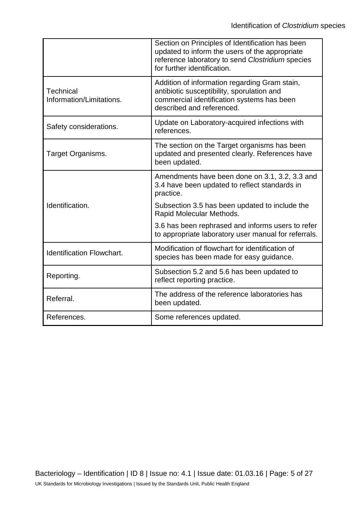|                                              | Section on Principles of Identification has been<br>updated to inform the users of the appropriate<br>reference laboratory to send Clostridium species<br>for further identification. |
|----------------------------------------------|---------------------------------------------------------------------------------------------------------------------------------------------------------------------------------------|
| <b>Technical</b><br>Information/Limitations. | Addition of information regarding Gram stain,<br>antibiotic susceptibility, sporulation and<br>commercial identification systems has been<br>described and referenced.                |
| Safety considerations.                       | Update on Laboratory-acquired infections with<br>references.                                                                                                                          |
| Target Organisms.                            | The section on the Target organisms has been<br>updated and presented clearly. References have<br>been updated.                                                                       |
|                                              | Amendments have been done on 3.1, 3.2, 3.3 and<br>3.4 have been updated to reflect standards in<br>practice.                                                                          |
| Identification.                              | Subsection 3.5 has been updated to include the<br>Rapid Molecular Methods.                                                                                                            |
|                                              | 3.6 has been rephrased and informs users to refer<br>to appropriate laboratory user manual for referrals.                                                                             |
| <b>Identification Flowchart.</b>             | Modification of flowchart for identification of<br>species has been made for easy guidance.                                                                                           |
| Reporting.                                   | Subsection 5.2 and 5.6 has been updated to<br>reflect reporting practice.                                                                                                             |
| Referral.                                    | The address of the reference laboratories has<br>been updated.                                                                                                                        |
| References.                                  | Some references updated.                                                                                                                                                              |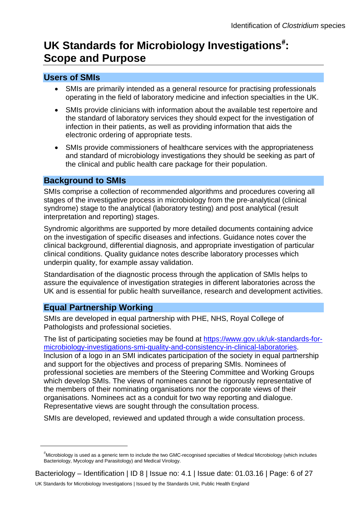## UK Standards for Microbiology Investigations<sup>[#](#page-0-0)</sup>: **Scope and Purpose**

### **Users of SMIs**

- SMIs are primarily intended as a general resource for practising professionals operating in the field of laboratory medicine and infection specialties in the UK.
- SMIs provide clinicians with information about the available test repertoire and the standard of laboratory services they should expect for the investigation of infection in their patients, as well as providing information that aids the electronic ordering of appropriate tests.
- SMIs provide commissioners of healthcare services with the appropriateness and standard of microbiology investigations they should be seeking as part of the clinical and public health care package for their population.

#### **Background to SMIs**

SMIs comprise a collection of recommended algorithms and procedures covering all stages of the investigative process in microbiology from the pre-analytical (clinical syndrome) stage to the analytical (laboratory testing) and post analytical (result interpretation and reporting) stages.

Syndromic algorithms are supported by more detailed documents containing advice on the investigation of specific diseases and infections. Guidance notes cover the clinical background, differential diagnosis, and appropriate investigation of particular clinical conditions. Quality guidance notes describe laboratory processes which underpin quality, for example assay validation.

Standardisation of the diagnostic process through the application of SMIs helps to assure the equivalence of investigation strategies in different laboratories across the UK and is essential for public health surveillance, research and development activities.

### **Equal Partnership Working**

 $\overline{a}$ 

SMIs are developed in equal partnership with PHE, NHS, Royal College of Pathologists and professional societies.

The list of participating societies may be found at [https://www.gov.uk/uk-standards-for](https://www.gov.uk/uk-standards-for-microbiology-investigations-smi-quality-and-consistency-in-clinical-laboratories)[microbiology-investigations-smi-quality-and-consistency-in-clinical-laboratories.](https://www.gov.uk/uk-standards-for-microbiology-investigations-smi-quality-and-consistency-in-clinical-laboratories) Inclusion of a logo in an SMI indicates participation of the society in equal partnership and support for the objectives and process of preparing SMIs. Nominees of professional societies are members of the Steering Committee and Working Groups which develop SMIs. The views of nominees cannot be rigorously representative of the members of their nominating organisations nor the corporate views of their organisations. Nominees act as a conduit for two way reporting and dialogue. Representative views are sought through the consultation process.

SMIs are developed, reviewed and updated through a wide consultation process.

<sup>#</sup> Microbiology is used as a generic term to include the two GMC-recognised specialties of Medical Microbiology (which includes Bacteriology, Mycology and Parasitology) and Medical Virology.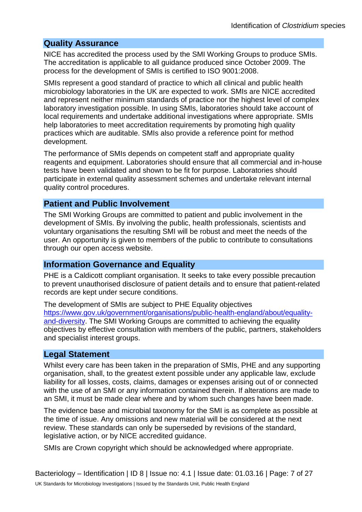#### **Quality Assurance**

NICE has accredited the process used by the SMI Working Groups to produce SMIs. The accreditation is applicable to all guidance produced since October 2009. The process for the development of SMIs is certified to ISO 9001:2008.

SMIs represent a good standard of practice to which all clinical and public health microbiology laboratories in the UK are expected to work. SMIs are NICE accredited and represent neither minimum standards of practice nor the highest level of complex laboratory investigation possible. In using SMIs, laboratories should take account of local requirements and undertake additional investigations where appropriate. SMIs help laboratories to meet accreditation requirements by promoting high quality practices which are auditable. SMIs also provide a reference point for method development.

The performance of SMIs depends on competent staff and appropriate quality reagents and equipment. Laboratories should ensure that all commercial and in-house tests have been validated and shown to be fit for purpose. Laboratories should participate in external quality assessment schemes and undertake relevant internal quality control procedures.

#### **Patient and Public Involvement**

The SMI Working Groups are committed to patient and public involvement in the development of SMIs. By involving the public, health professionals, scientists and voluntary organisations the resulting SMI will be robust and meet the needs of the user. An opportunity is given to members of the public to contribute to consultations through our open access website.

#### **Information Governance and Equality**

PHE is a Caldicott compliant organisation. It seeks to take every possible precaution to prevent unauthorised disclosure of patient details and to ensure that patient-related records are kept under secure conditions.

The development of SMIs are subject to PHE Equality objectives [https://www.gov.uk/government/organisations/public-health-england/about/equality](https://www.gov.uk/government/organisations/public-health-england/about/equality-and-diversity)[and-diversity.](https://www.gov.uk/government/organisations/public-health-england/about/equality-and-diversity) The SMI Working Groups are committed to achieving the equality objectives by effective consultation with members of the public, partners, stakeholders and specialist interest groups.

#### **Legal Statement**

Whilst every care has been taken in the preparation of SMIs, PHE and any supporting organisation, shall, to the greatest extent possible under any applicable law, exclude liability for all losses, costs, claims, damages or expenses arising out of or connected with the use of an SMI or any information contained therein. If alterations are made to an SMI, it must be made clear where and by whom such changes have been made.

The evidence base and microbial taxonomy for the SMI is as complete as possible at the time of issue. Any omissions and new material will be considered at the next review. These standards can only be superseded by revisions of the standard, legislative action, or by NICE accredited guidance.

SMIs are Crown copyright which should be acknowledged where appropriate.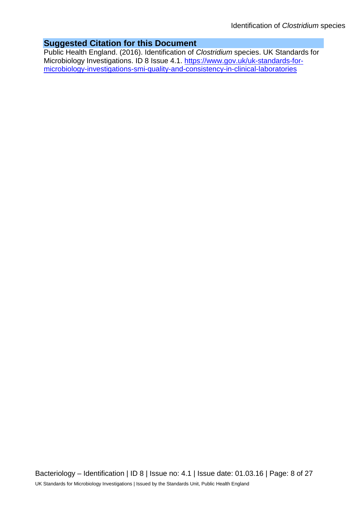#### **Suggested Citation for this Document**

Public Health England. (2016). Identification of *Clostridium* species. UK Standards for Microbiology Investigations. ID 8 Issue 4.1. [https://www.gov.uk/uk-standards-for](https://www.gov.uk/uk-standards-for-microbiology-investigations-smi-quality-and-consistency-in-clinical-laboratories)[microbiology-investigations-smi-quality-and-consistency-in-clinical-laboratories](https://www.gov.uk/uk-standards-for-microbiology-investigations-smi-quality-and-consistency-in-clinical-laboratories)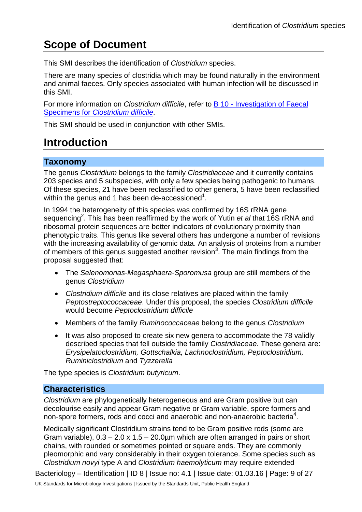## **Scope of Document**

This SMI describes the identification of *Clostridium* species.

There are many species of clostridia which may be found naturally in the environment and animal faeces. Only species associated with human infection will be discussed in this SMI.

For more information on *Clostridium difficile*, refer to B 10 - [Investigation of Faecal](https://www.gov.uk/government/collections/standards-for-microbiology-investigations-smi#bacteriology)  Specimens for *[Clostridium difficile](https://www.gov.uk/government/collections/standards-for-microbiology-investigations-smi#bacteriology)*.

This SMI should be used in conjunction with other SMIs.

## **Introduction**

#### **Taxonomy**

The genus *Clostridium* belongs to the family *Clostridiaceae* and it currently contains 203 species and 5 subspecies, with only a few species being pathogenic to humans. Of these species, 21 have been reclassified to other genera, 5 have been reclassified within the genus and 1 has been de-accessioned $^1$ .

In 1994 the heterogeneity of this species was confirmed by 16S rRNA gene sequencing<sup>2</sup>. This has been reaffirmed by the work of Yutin *et al* that 16S rRNA and ribosomal protein sequences are better indicators of evolutionary proximity than phenotypic traits. This genus like several others has undergone a number of revisions with the increasing availability of genomic data. An analysis of proteins from a number of members of this genus suggested another revision<sup>3</sup>. The main findings from the proposal suggested that:

- The *Selenomonas-Megasphaera-Sporomusa* group are still members of the genus *Clostridium*
- *Clostridium difficile* and its close relatives are placed within the family *Peptostreptococcaceae*. Under this proposal, the species *Clostridium difficile* would become *Peptoclostridium difficile*
- Members of the family *Ruminococcaceae* belong to the genus *Clostridium*
- It was also proposed to create six new genera to accommodate the 78 validly described species that fell outside the family *Clostridiaceae*. These genera are: *Erysipelatoclostridium, Gottschalkia, Lachnoclostridium, Peptoclostridium, Ruminiclostridium* and *Tyzzerella*

The type species is *Clostridium butyricum*.

#### **Characteristics**

*Clostridium* are phylogenetically heterogeneous and are Gram positive but can decolourise easily and appear Gram negative or Gram variable, spore formers and non-spore formers, rods and cocci and anaerobic and non-anaerobic bacteria<sup>4</sup>.

Medically significant Clostridium strains tend to be Gram positive rods (some are Gram variable),  $0.3 - 2.0 \times 1.5 - 20.0 \mu$ m which are often arranged in pairs or short chains, with rounded or sometimes pointed or square ends. They are commonly pleomorphic and vary considerably in their oxygen tolerance. Some species such as *Clostridium novyi* type A and *Clostridium haemolyticum* may require extended

Bacteriology – Identification | ID 8 | Issue no: 4.1 | Issue date: 01.03.16 | Page: 9 of 27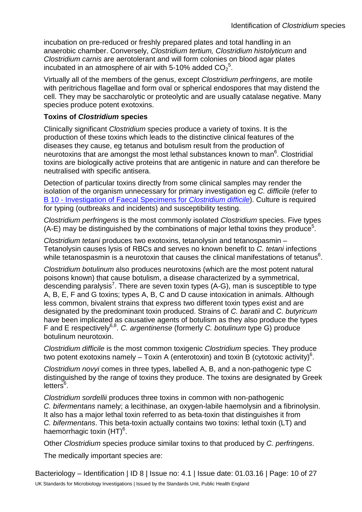incubation on pre-reduced or freshly prepared plates and total handling in an anaerobic chamber. Conversely, *Clostridium tertium, Clostridium histolyticum* and *Clostridium carnis* are aerotolerant and will form colonies on blood agar plates incubated in an atmosphere of air with 5-10% added  $CO_2^{\,5}$ .

Virtually all of the members of the genus, except *Clostridium perfringens*, are motile with peritrichous flagellae and form oval or spherical endospores that may distend the cell. They may be saccharolytic or proteolytic and are usually catalase negative. Many species produce potent exotoxins.

#### **Toxins of** *Clostridium* **species**

Clinically significant *Clostridium* species produce a variety of toxins. It is the production of these toxins which leads to the distinctive clinical features of the diseases they cause, eg tetanus and botulism result from the production of neurotoxins that are amongst the most lethal substances known to man<sup>6</sup>. Clostridial toxins are biologically active proteins that are antigenic in nature and can therefore be neutralised with specific antisera.

Detection of particular toxins directly from some clinical samples may render the isolation of the organism unnecessary for primary investigation eg *C. difficile* (refer to B 10 - [Investigation of Faecal Specimens for](https://www.gov.uk/government/collections/standards-for-microbiology-investigations-smi#bacteriology) *Clostridium difficile*). Culture is required for typing (outbreaks and incidents) and susceptibility testing.

*Clostridium perfringens* is the most commonly isolated *Clostridium* species. Five types  $(A-E)$  may be distinguished by the combinations of major lethal toxins they produce<sup>5</sup>.

*Clostridium tetani* produces two exotoxins, tetanolysin and tetanospasmin – Tetanolysin causes lysis of RBCs and serves no known benefit to *C. tetani* infections while tetanospasmin is a neurotoxin that causes the clinical manifestations of tetanus<sup>6</sup>.

*Clostridium botulinum* also produces neurotoxins (which are the most potent natural poisons known) that cause botulism, a disease characterized by a symmetrical, descending paralysis<sup>7</sup>. There are seven toxin types (A-G), man is susceptible to type A, B, E, F and G toxins; types A, B, C and D cause intoxication in animals. Although less common, bivalent strains that express two different toxin types exist and are designated by the predominant toxin produced. Strains of *C. baratii* and *C. butyricum* have been implicated as causative agents of botulism as they also produce the types F and E respectively6,8. *C. argentinense* (formerly *C. botulinum* type G) produce botulinum neurotoxin.

*Clostridium difficile* is the most common toxigenic *Clostridium* species. They produce two potent exotoxins namely – Toxin A (enterotoxin) and toxin B (cytotoxic activity)<sup>6</sup>.

*Clostridium novyi* comes in three types, labelled A, B, and a non-pathogenic type C distinguished by the range of toxins they produce. The toxins are designated by Greek letters<sup>6</sup>.

*Clostridium sordellii* produces three toxins in common with non-pathogenic *C. bifermentans* namely; a lecithinase, an oxygen-labile haemolysin and a fibrinolysin. It also has a major lethal toxin referred to as beta-toxin that distinguishes it from *C. bifermentans*. This beta-toxin actually contains two toxins: lethal toxin (LT) and haemorrhagic toxin (HT)<sup>6</sup>.

Other *Clostridium* species produce similar toxins to that produced by *C. perfringens*.

The medically important species are:

Bacteriology – Identification | ID 8 | Issue no: 4.1 | Issue date: 01.03.16 | Page: 10 of 27 UK Standards for Microbiology Investigations | Issued by the Standards Unit, Public Health England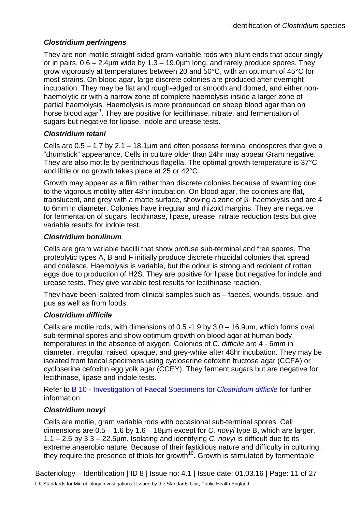#### *Clostridium perfringens*

They are non-motile straight-sided gram-variable rods with blunt ends that occur singly or in pairs,  $0.6 - 2.4 \mu m$  wide by  $1.3 - 19.0 \mu m$  long, and rarely produce spores. They grow vigorously at temperatures between 20 and 50°C, with an optimum of 45°C for most strains. On blood agar, large discrete colonies are produced after overnight incubation. They may be flat and rough-edged or smooth and domed, and either nonhaemolytic or with a narrow zone of complete haemolysis inside a larger zone of partial haemolysis. Haemolysis is more pronounced on sheep blood agar than on horse blood agar<sup>9</sup>. They are positive for lecithinase, nitrate, and fermentation of sugars but negative for lipase, indole and urease tests.

#### *Clostridium tetani*

Cells are  $0.5 - 1.7$  by  $2.1 - 18.1$ µm and often possess terminal endospores that give a "drumstick" appearance. Cells in culture older than 24hr may appear Gram negative. They are also motile by peritrichous flagella. The optimal growth temperature is 37°C and little or no growth takes place at 25 or 42°C.

Growth may appear as a film rather than discrete colonies because of swarming due to the vigorous motility after 48hr incubation. On blood agar, the colonies are flat, translucent, and grey with a matte surface, showing a zone of β- haemolysis and are 4 to 6mm in diameter. Colonies have irregular and rhizoid margins. They are negative for fermentation of sugars, lecithinase, lipase, urease, nitrate reduction tests but give variable results for indole test.

#### *Clostridium botulinum*

Cells are gram variable bacilli that show profuse sub-terminal and free spores. The proteolytic types A, B and F initially produce discrete rhizoidal colonies that spread and coalesce. Haemolysis is variable, but the odour is strong and redolent of rotten eggs due to production of H2S. They are positive for lipase but negative for indole and urease tests. They give variable test results for lecithinase reaction.

They have been isolated from clinical samples such as – faeces, wounds, tissue, and pus as well as from foods.

#### *Clostridium difficile*

Cells are motile rods, with dimensions of 0.5 -1.9 by 3.0 – 16.9µm, which forms oval sub-terminal spores and show optimum growth on blood agar at human body temperatures in the absence of oxygen. Colonies of *C. difficile* are 4 - 6mm in diameter, irregular, raised, opaque, and grey-white after 48hr incubation. They may be isolated from faecal specimens using cycloserine cefoxitin fructose agar (CCFA) or cycloserine cefoxitin egg yolk agar (CCEY). They ferment sugars but are negative for lecithinase, lipase and indole tests.

Refer to B 10 - [Investigation of Faecal Specimens for](https://www.gov.uk/government/collections/standards-for-microbiology-investigations-smi#bacteriology) *Clostridium difficile* for further information.

#### *Clostridium novyi*

Cells are motile, gram variable rods with occasional sub-terminal spores. Cell dimensions are 0.5 – 1.6 by 1.6 – 18µm except for *C. novyi* type B, which are larger, 1.1 – 2.5 by 3.3 – 22.5µm. Isolating and identifying *C. novyi* is difficult due to its extreme anaerobic nature. Because of their fastidious nature and difficulty in culturing, they require the presence of thiols for growth<sup>10</sup>. Growth is stimulated by fermentable

Bacteriology – Identification | ID 8 | Issue no: 4.1 | Issue date: 01.03.16 | Page: 11 of 27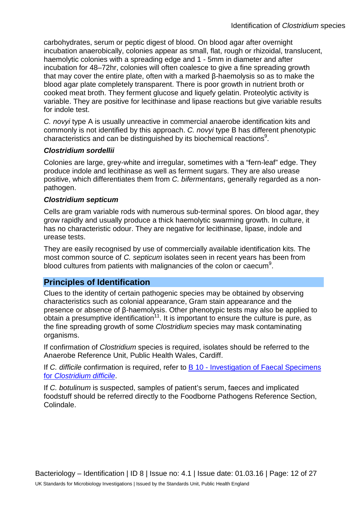carbohydrates, serum or peptic digest of blood. On blood agar after overnight incubation anaerobically, colonies appear as small, flat, rough or rhizoidal, translucent, haemolytic colonies with a spreading edge and 1 - 5mm in diameter and after incubation for 48–72hr, colonies will often coalesce to give a fine spreading growth that may cover the entire plate, often with a marked β-haemolysis so as to make the blood agar plate completely transparent. There is poor growth in nutrient broth or cooked meat broth. They ferment glucose and liquefy gelatin. Proteolytic activity is variable. They are positive for lecithinase and lipase reactions but give variable results for indole test.

*C. novyi* type A is usually unreactive in commercial anaerobe identification kits and commonly is not identified by this approach. *C. novyi* type B has different phenotypic characteristics and can be distinguished by its biochemical reactions<sup>9</sup>.

#### *Clostridium sordellii*

Colonies are large, grey-white and irregular, sometimes with a "fern-leaf" edge. They produce indole and lecithinase as well as ferment sugars. They are also urease positive, which differentiates them from *C. bifermentans*, generally regarded as a nonpathogen.

#### *Clostridium septicum*

Cells are gram variable rods with numerous sub-terminal spores. On blood agar, they grow rapidly and usually produce a thick haemolytic swarming growth. In culture, it has no characteristic odour. They are negative for lecithinase, lipase, indole and urease tests.

They are easily recognised by use of commercially available identification kits. The most common source of *C. septicum* isolates seen in recent years has been from blood cultures from patients with malignancies of the colon or caecum<sup>9</sup>.

#### **Principles of Identification**

Clues to the identity of certain pathogenic species may be obtained by observing characteristics such as colonial appearance, Gram stain appearance and the presence or absence of β-haemolysis. Other phenotypic tests may also be applied to obtain a presumptive identification<sup>11</sup>. It is important to ensure the culture is pure, as the fine spreading growth of some *Clostridium* species may mask contaminating organisms.

If confirmation of *Clostridium* species is required, isolates should be referred to the Anaerobe Reference Unit, Public Health Wales, Cardiff.

If *C. difficile* confirmation is required, refer to **B** 10 - Investigation of Faecal Specimens for *[Clostridium difficile](https://www.gov.uk/government/collections/standards-for-microbiology-investigations-smi#bacteriology)*.

If *C. botulinum* is suspected, samples of patient's serum, faeces and implicated foodstuff should be referred directly to the Foodborne Pathogens Reference Section, Colindale.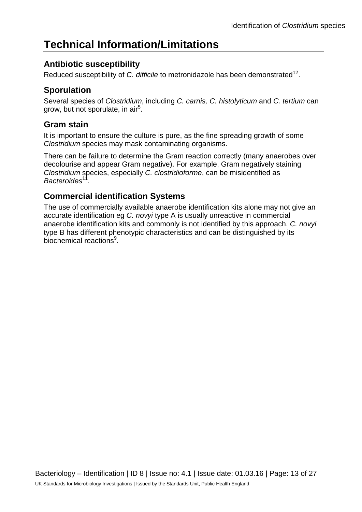## **Technical Information/Limitations**

## **Antibiotic susceptibility**

Reduced susceptibility of *C. difficile* to metronidazole has been demonstrated<sup>12</sup>.

## **Sporulation**

Several species of *Clostridium*, including *C. carnis, C. histolyticum* and *C. tertium* can grow, but not sporulate, in air<sup>5</sup>.

### **Gram stain**

It is important to ensure the culture is pure, as the fine spreading growth of some *Clostridium* species may mask contaminating organisms.

There can be failure to determine the Gram reaction correctly (many anaerobes over decolourise and appear Gram negative). For example, Gram negatively staining *Clostridium* species, especially *C. clostridioforme*, can be misidentified as *Bacteroides*11.

## **Commercial identification Systems**

The use of commercially available anaerobe identification kits alone may not give an accurate identification eg *C. novyi* type A is usually unreactive in commercial anaerobe identification kits and commonly is not identified by this approach. *C. novyi* type B has different phenotypic characteristics and can be distinguished by its biochemical reactions<sup>9</sup>.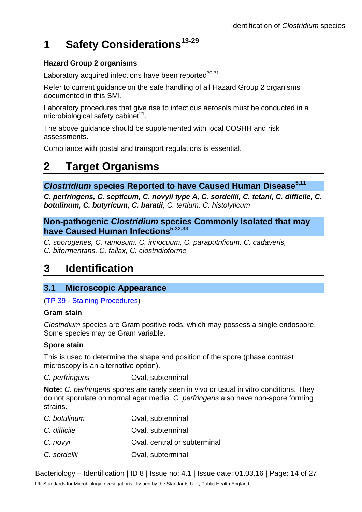## **1 Safety Considerations13-29**

#### **Hazard Group 2 organisms**

Laboratory acquired infections have been reported $30,31$ .

Refer to current guidance on the safe handling of all Hazard Group 2 organisms documented in this SMI.

Laboratory procedures that give rise to infectious aerosols must be conducted in a microbiological safety cabinet $^{21}$ .

The above guidance should be supplemented with local COSHH and risk assessments.

Compliance with postal and transport regulations is essential.

## **2 Target Organisms**

#### **Clostridium species Reported to have Caused Human Disease**<sup>5,11</sup>

*C. perfringens, C. septicum, C. novyii type A, C. sordellii, C. tetani, C. difficile, C. botulinum, C. butyricum, C. baratii, C. tertium, C. histolyticum*

**Non-pathogenic** *Clostridium* **species Commonly Isolated that may have Caused Human Infections**5,32,33

*C. sporogenes, C. ramosum. C. innocuum, C. paraputrificum, C. cadaveris, C. bifermentans, C. fallax, C. clostridioforme*

## **3 Identification**

#### **3.1 Microscopic Appearance**

(TP 39 - [Staining Procedures\)](https://www.gov.uk/government/collections/standards-for-microbiology-investigations-smi#test-procedures)

#### **Gram stain**

*Clostridium* species are Gram positive rods, which may possess a single endospore. Some species may be Gram variable.

#### **Spore stain**

This is used to determine the shape and position of the spore (phase contrast microscopy is an alternative option).

*C. perfringens* Oval, subterminal

**Note:** *C. perfringens* spores are rarely seen in vivo or usual in vitro conditions. They do not sporulate on normal agar media. *C. perfringens* also have non-spore forming strains.

| C. botulinum | Oval, subterminal            |
|--------------|------------------------------|
| C. difficile | Oval, subterminal            |
| C. novyi     | Oval, central or subterminal |
| C. sordellii | Oval, subterminal            |

Bacteriology – Identification | ID 8 | Issue no: 4.1 | Issue date: 01.03.16 | Page: 14 of 27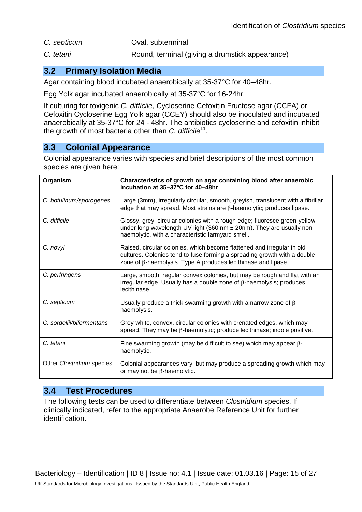- *C. septicum* Oval, subterminal
- *C. tetani* Round, terminal (giving a drumstick appearance)

#### **3.2 Primary Isolation Media**

Agar containing blood incubated anaerobically at 35-37°C for 40–48hr.

Egg Yolk agar incubated anaerobically at 35-37°C for 16-24hr.

If culturing for toxigenic *C. difficile*, Cycloserine Cefoxitin Fructose agar (CCFA) or Cefoxitin Cycloserine Egg Yolk agar (CCEY) should also be inoculated and incubated anaerobically at 35-37°C for 24 - 48hr. The antibiotics cycloserine and cefoxitin inhibit the growth of most bacteria other than *C. difficile*11.

### **3.3 Colonial Appearance**

Colonial appearance varies with species and brief descriptions of the most common species are given here:

| Organism                  | Characteristics of growth on agar containing blood after anaerobic<br>incubation at 35-37°C for 40-48hr                                                                                                                    |
|---------------------------|----------------------------------------------------------------------------------------------------------------------------------------------------------------------------------------------------------------------------|
| C. botulinum/sporogenes   | Large (3mm), irregularly circular, smooth, greyish, translucent with a fibrillar<br>edge that may spread. Most strains are $\beta$ -haemolytic; produces lipase.                                                           |
| C. difficile              | Glossy, grey, circular colonies with a rough edge; fluoresce green-yellow<br>under long wavelength UV light (360 nm ± 20nm). They are usually non-<br>haemolytic, with a characteristic farmyard smell.                    |
| C. novyi                  | Raised, circular colonies, which become flattened and irregular in old<br>cultures. Colonies tend to fuse forming a spreading growth with a double<br>zone of $\beta$ -haemolysis. Type A produces lecithinase and lipase. |
| C. perfringens            | Large, smooth, regular convex colonies, but may be rough and flat with an<br>irregular edge. Usually has a double zone of $\beta$ -haemolysis; produces<br>lecithinase.                                                    |
| C. septicum               | Usually produce a thick swarming growth with a narrow zone of $\beta$ -<br>haemolysis.                                                                                                                                     |
| C. sordellii/bifermentans | Grey-white, convex, circular colonies with crenated edges, which may<br>spread. They may be $\beta$ -haemolytic; produce lecithinase; indole positive.                                                                     |
| C. tetani                 | Fine swarming growth (may be difficult to see) which may appear $\beta$ -<br>haemolytic.                                                                                                                                   |
| Other Clostridium species | Colonial appearances vary, but may produce a spreading growth which may<br>or may not be $\beta$ -haemolytic.                                                                                                              |

#### **3.4 Test Procedures**

The following tests can be used to differentiate between *Clostridium* species. If clinically indicated, refer to the appropriate Anaerobe Reference Unit for further identification.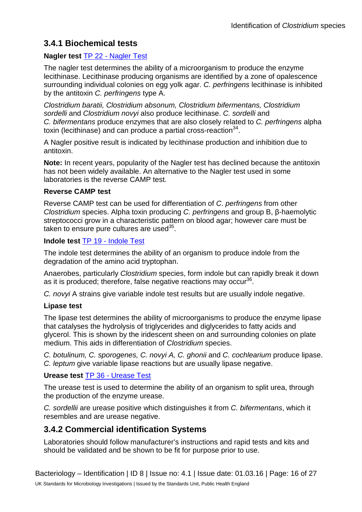### **3.4.1 Biochemical tests**

#### **Nagler test** TP 22 - [Nagler Test](https://www.gov.uk/government/collections/standards-for-microbiology-investigations-smi#test-procedures)

The nagler test determines the ability of a microorganism to produce the enzyme lecithinase. Lecithinase producing organisms are identified by a zone of opalescence surrounding individual colonies on egg yolk agar. *C. perfringens* lecithinase is inhibited by the antitoxin *C. perfringens* type A.

*Clostridium baratii, Clostridium absonum, Clostridium bifermentans, Clostridium sordelli* and *Clostridium novyi* also produce lecithinase. *C. sordelli* and *C. bifermentans* produce enzymes that are also closely related to *C. perfringens* alpha toxin (lecithinase) and can produce a partial cross-reaction<sup>34</sup>.

A Nagler positive result is indicated by lecithinase production and inhibition due to antitoxin.

**Note:** In recent years, popularity of the Nagler test has declined because the antitoxin has not been widely available. An alternative to the Nagler test used in some laboratories is the reverse CAMP test.

#### **Reverse CAMP test**

Reverse CAMP test can be used for differentiation of *C*. *perfringens* from other *Clostridium* species. Alpha toxin producing *C. perfringens* and group B, β-haemolytic streptococci grow in a characteristic pattern on blood agar; however care must be taken to ensure pure cultures are used $35$ .

#### **Indole test** TP 19 - [Indole Test](https://www.gov.uk/government/collections/standards-for-microbiology-investigations-smi#test-procedures)

The indole test determines the ability of an organism to produce indole from the degradation of the amino acid tryptophan.

Anaerobes, particularly *Clostridium* species, form indole but can rapidly break it down as it is produced; therefore, false negative reactions may occur<sup>36</sup>.

*C. novyi* A strains give variable indole test results but are usually indole negative.

#### **Lipase test**

The lipase test determines the ability of microorganisms to produce the enzyme lipase that catalyses the hydrolysis of triglycerides and diglycerides to fatty acids and glycerol. This is shown by the iridescent sheen on and surrounding colonies on plate medium. This aids in differentiation of *Clostridium* species.

*C. botulinum, C. sporogenes, C. novyi A, C. ghonii* and *C. cochlearium* produce lipase. *C. leptum* give variable lipase reactions but are usually lipase negative.

#### **Urease test** TP 36 - [Urease Test](https://www.gov.uk/government/collections/standards-for-microbiology-investigations-smi#test-procedures)

The urease test is used to determine the ability of an organism to split urea, through the production of the enzyme urease.

*C. sordellii* are urease positive which distinguishes it from *C. bifermentans*, which it resembles and are urease negative.

### **3.4.2 Commercial identification Systems**

Laboratories should follow manufacturer's instructions and rapid tests and kits and should be validated and be shown to be fit for purpose prior to use.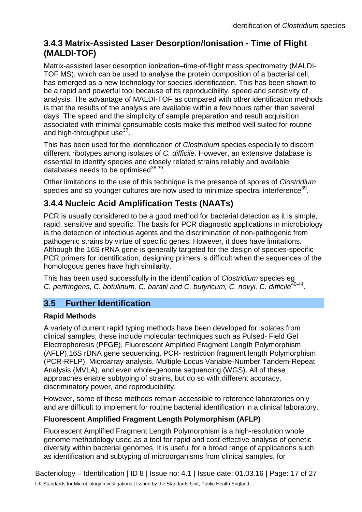### **3.4.3 Matrix-Assisted Laser Desorption/Ionisation - Time of Flight (MALDI-TOF)**

Matrix-assisted laser desorption ionization–time-of-flight mass spectrometry (MALDI-TOF MS), which can be used to analyse the protein composition of a bacterial cell, has emerged as a new technology for species identification. This has been shown to be a rapid and powerful tool because of its reproducibility, speed and sensitivity of analysis. The advantage of MALDI-TOF as compared with other identification methods is that the results of the analysis are available within a few hours rather than several days. The speed and the simplicity of sample preparation and result acquisition associated with minimal consumable costs make this method well suited for routine and high-throughput use $37$ .

This has been used for the identification of *Clostridium* species especially to discern different ribotypes among isolates of *C. difficile*. However, an extensive database is essential to identify species and closely related strains reliably and available databases needs to be optimised $38,39$ .

Other limitations to the use of this technique is the presence of spores of *Clostridium* species and so younger cultures are now used to minimize spectral interference<sup>39</sup>.

## **3.4.4 Nucleic Acid Amplification Tests (NAATs)**

PCR is usually considered to be a good method for bacterial detection as it is simple, rapid, sensitive and specific. The basis for PCR diagnostic applications in microbiology is the detection of infectious agents and the discrimination of non-pathogenic from pathogenic strains by virtue of specific genes. However, it does have limitations. Although the 16S rRNA gene is generally targeted for the design of species-specific PCR primers for identification, designing primers is difficult when the sequences of the homologous genes have high similarity.

This has been used successfully in the identification of *Clostridium* species eg *C. perfringens, C. botulinum, C. baratii and C. butyricum, C. novyi, C. difficile<sup>40-44</sup>.* 

### **3.5 Further Identification**

#### **Rapid Methods**

A variety of current rapid typing methods have been developed for isolates from clinical samples; these include molecular techniques such as Pulsed- Field Gel Electrophoresis (PFGE), Fluorescent Amplified Fragment Length Polymorphism (AFLP),16S rDNA gene sequencing, PCR- restriction fragment length Polymorphism (PCR-RFLP), Microarray analysis, Multiple-Locus Variable-Number Tandem-Repeat Analysis (MVLA), and even whole-genome sequencing (WGS). All of these approaches enable subtyping of strains, but do so with different accuracy, discriminatory power, and reproducibility.

However, some of these methods remain accessible to reference laboratories only and are difficult to implement for routine bacterial identification in a clinical laboratory.

#### **Fluorescent Amplified Fragment Length Polymorphism (AFLP)**

Fluorescent Amplified Fragment Length Polymorphism is a high-resolution whole genome methodology used as a tool for rapid and cost-effective analysis of genetic diversity within bacterial genomes. It is useful for a broad range of applications such as identification and subtyping of microorganisms from clinical samples, for

Bacteriology – Identification | ID 8 | Issue no: 4.1 | Issue date: 01.03.16 | Page: 17 of 27 UK Standards for Microbiology Investigations | Issued by the Standards Unit, Public Health England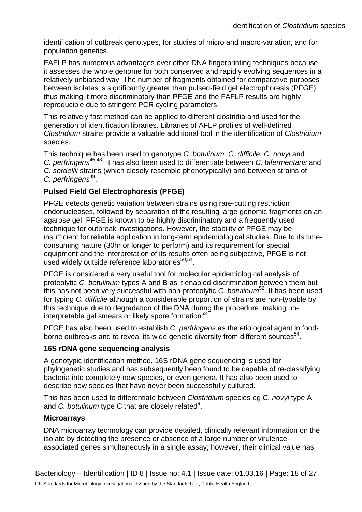identification of outbreak genotypes, for studies of micro and macro-variation, and for population genetics.

FAFLP has numerous advantages over other DNA fingerprinting techniques because it assesses the whole genome for both conserved and rapidly evolving sequences in a relatively unbiased way. The number of fragments obtained for comparative purposes between isolates is significantly greater than pulsed-field gel electrophoresis (PFGE), thus making it more discriminatory than PFGE and the FAFLP results are highly reproducible due to stringent PCR cycling parameters.

This relatively fast method can be applied to different clostridia and used for the generation of identification libraries. Libraries of AFLP profiles of well-defined *Clostridium* strains provide a valuable additional tool in the identification of *Clostridium* species.

This technique has been used to genotype *C. botulinum, C. difficile*, *C. novyi* and *C. perfringens*45-48. It has also been used to differentiate between *C. bifermentans* and *C. sordellii* strains (which closely resemble phenotypically) and between strains of *C. perfringens*49.

#### **Pulsed Field Gel Electrophoresis (PFGE)**

PFGE detects genetic variation between strains using rare-cutting restriction endonucleases, followed by separation of the resulting large genomic fragments on an agarose gel. PFGE is known to be highly discriminatory and a frequently used technique for outbreak investigations. However, the stability of PFGE may be insufficient for reliable application in long-term epidemiological studies. Due to its timeconsuming nature (30hr or longer to perform) and its requirement for special equipment and the interpretation of its results often being subjective, PFGE is not used widely outside reference laboratories $50,51$ .

PFGE is considered a very useful tool for molecular epidemiological analysis of proteolytic *C. botulinum* types A and B as it enabled discrimination between them but this has not been very successful with non-proteolytic *C. botulinum*52. It has been used for typing *C. difficile* although a considerable proportion of strains are non-typable by this technique due to degradation of the DNA during the procedure; making uninterpretable gel smears or likely spore formation $53$ .

PFGE has also been used to establish *C. perfringens* as the etiological agent in foodborne outbreaks and to reveal its wide genetic diversity from different sources<sup>54</sup>.

#### **16S rDNA gene sequencing analysis**

A genotypic identification method, 16S rDNA gene sequencing is used for phylogenetic studies and has subsequently been found to be capable of re-classifying bacteria into completely new species, or even genera. It has also been used to describe new species that have never been successfully cultured.

This has been used to differentiate between *Clostridium* species eg *C. novyi* type A and *C. botulinum* type C that are closely related<sup>9</sup>.

#### **Microarrays**

DNA microarray technology can provide detailed, clinically relevant information on the isolate by detecting the presence or absence of a large number of virulenceassociated genes simultaneously in a single assay; however, their clinical value has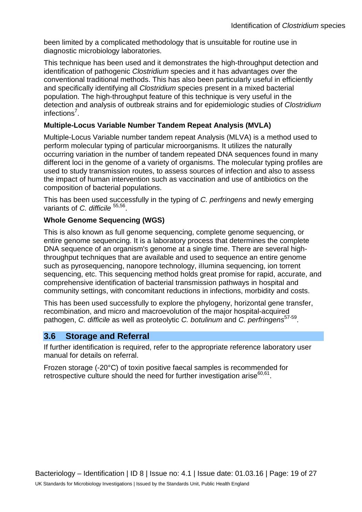been limited by a complicated methodology that is unsuitable for routine use in diagnostic microbiology laboratories.

This technique has been used and it demonstrates the high-throughput detection and identification of pathogenic *Clostridium* species and it has advantages over the conventional traditional methods. This has also been particularly useful in efficiently and specifically identifying all *Clostridium* species present in a mixed bacterial population. The high-throughput feature of this technique is very useful in the detection and analysis of outbreak strains and for epidemiologic studies of *Clostridium*  infections<sup>7</sup>.

#### **Multiple-Locus Variable Number Tandem Repeat Analysis (MVLA)**

Multiple-Locus Variable number tandem repeat Analysis (MLVA) is a method used to perform molecular typing of particular microorganisms. It utilizes the naturally occurring variation in the number of tandem repeated DNA sequences found in many different loci in the genome of a variety of organisms. The molecular typing profiles are used to study transmission routes, to assess sources of infection and also to assess the impact of human intervention such as vaccination and use of antibiotics on the composition of bacterial populations.

This has been used successfully in the typing of *C. perfringens* and newly emerging variants of *C. difficile* <sup>55,56</sup>.

#### **Whole Genome Sequencing (WGS)**

This is also known as full genome sequencing, complete genome sequencing, or entire genome sequencing. It is a laboratory process that determines the complete DNA sequence of an organism's genome at a single time. There are several highthroughput techniques that are available and used to sequence an entire genome such as pyrosequencing, nanopore technology, iIIumina sequencing, ion torrent sequencing, etc. This sequencing method holds great promise for rapid, accurate, and comprehensive identification of bacterial transmission pathways in hospital and community settings, with concomitant reductions in infections, morbidity and costs.

This has been used successfully to explore the phylogeny, horizontal gene transfer, recombination, and micro and macroevolution of the major hospital-acquired pathogen, *C. difficile* as well as proteolytic *C. botulinum* and *C. perfringens*<sup>57-59</sup>.

#### **3.6 Storage and Referral**

If further identification is required, refer to the appropriate reference laboratory user manual for details on referral.

Frozen storage (-20°C) of toxin positive faecal samples is recommended for retrospective culture should the need for further investigation arise $60,61$ .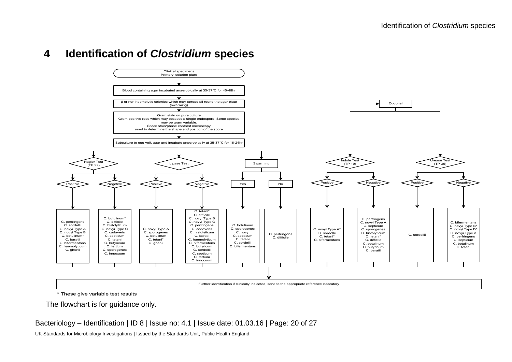



\* These give variable test results

The flowchart is for guidance only.

#### Bacteriology – Identification | ID 8 | Issue no: 4.1 | Issue date: 01.03.16 | Page: 20 of 27

UK Standards for Microbiology Investigations | Issued by the Standards Unit, Public Health England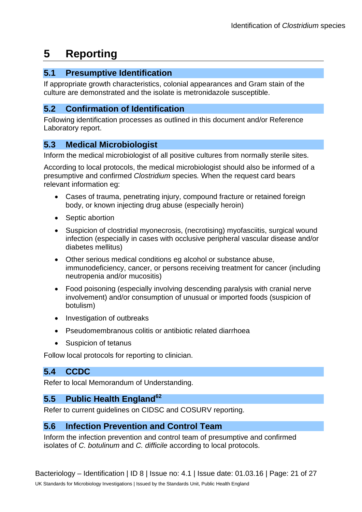## **5 Reporting**

#### **5.1 Presumptive Identification**

If appropriate growth characteristics, colonial appearances and Gram stain of the culture are demonstrated and the isolate is metronidazole susceptible.

#### **5.2 Confirmation of Identification**

Following identification processes as outlined in this document and/or Reference Laboratory report.

### **5.3 Medical Microbiologist**

Inform the medical microbiologist of all positive cultures from normally sterile sites.

According to local protocols, the medical microbiologist should also be informed of a presumptive and confirmed *Clostridium* species*.* When the request card bears relevant information eg:

- Cases of trauma, penetrating injury, compound fracture or retained foreign body, or known injecting drug abuse (especially heroin)
- Septic abortion
- Suspicion of clostridial myonecrosis, (necrotising) myofasciitis, surgical wound infection (especially in cases with occlusive peripheral vascular disease and/or diabetes mellitus)
- Other serious medical conditions eg alcohol or substance abuse, immunodeficiency, cancer, or persons receiving treatment for cancer (including neutropenia and/or mucositis)
- Food poisoning (especially involving descending paralysis with cranial nerve involvement) and/or consumption of unusual or imported foods (suspicion of botulism)
- Investigation of outbreaks
- Pseudomembranous colitis or antibiotic related diarrhoea
- Suspicion of tetanus

Follow local protocols for reporting to clinician.

### **5.4 CCDC**

Refer to local Memorandum of Understanding.

### 5.5 Public Health England<sup>62</sup>

Refer to current guidelines on CIDSC and COSURV reporting.

#### **5.6 Infection Prevention and Control Team**

Inform the infection prevention and control team of presumptive and confirmed isolates of *C. botulinum* and *C. difficile* according to local protocols.

Bacteriology – Identification | ID 8 | Issue no: 4.1 | Issue date: 01.03.16 | Page: 21 of 27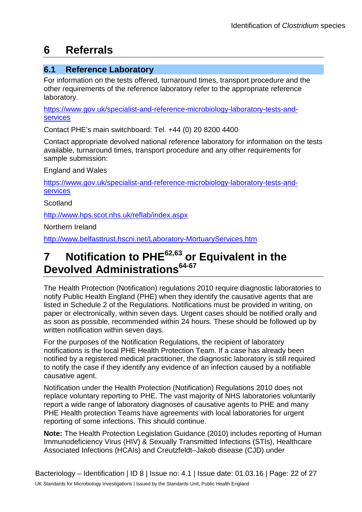## **6 Referrals**

### **6.1 Reference Laboratory**

For information on the tests offered, turnaround times, transport procedure and the other requirements of the reference laboratory refer to the appropriate reference laboratory.

[https://www.gov.uk/specialist-and-reference-microbiology-laboratory-tests-and](https://www.gov.uk/specialist-and-reference-microbiology-laboratory-tests-and-services)[services](https://www.gov.uk/specialist-and-reference-microbiology-laboratory-tests-and-services)

Contact PHE's main switchboard: Tel. +44 (0) 20 8200 4400

Contact appropriate devolved national reference laboratory for information on the tests available, turnaround times, transport procedure and any other requirements for sample submission:

England and Wales

[https://www.gov.uk/specialist-and-reference-microbiology-laboratory-tests-and](https://www.gov.uk/specialist-and-reference-microbiology-laboratory-tests-and-services)[services](https://www.gov.uk/specialist-and-reference-microbiology-laboratory-tests-and-services)

**Scotland** 

<http://www.hps.scot.nhs.uk/reflab/index.aspx>

Northern Ireland

<http://www.belfasttrust.hscni.net/Laboratory-MortuaryServices.htm>

## **7 Notification to PHE62,63 or Equivalent in the Devolved Administrations64-67**

The Health Protection (Notification) regulations 2010 require diagnostic laboratories to notify Public Health England (PHE) when they identify the causative agents that are listed in Schedule 2 of the Regulations. Notifications must be provided in writing, on paper or electronically, within seven days. Urgent cases should be notified orally and as soon as possible, recommended within 24 hours. These should be followed up by written notification within seven days.

For the purposes of the Notification Regulations, the recipient of laboratory notifications is the local PHE Health Protection Team. If a case has already been notified by a registered medical practitioner, the diagnostic laboratory is still required to notify the case if they identify any evidence of an infection caused by a notifiable causative agent.

Notification under the Health Protection (Notification) Regulations 2010 does not replace voluntary reporting to PHE. The vast majority of NHS laboratories voluntarily report a wide range of laboratory diagnoses of causative agents to PHE and many PHE Health protection Teams have agreements with local laboratories for urgent reporting of some infections. This should continue.

**Note:** The Health Protection Legislation Guidance (2010) includes reporting of Human Immunodeficiency Virus (HIV) & Sexually Transmitted Infections (STIs), Healthcare Associated Infections (HCAIs) and Creutzfeldt–Jakob disease (CJD) under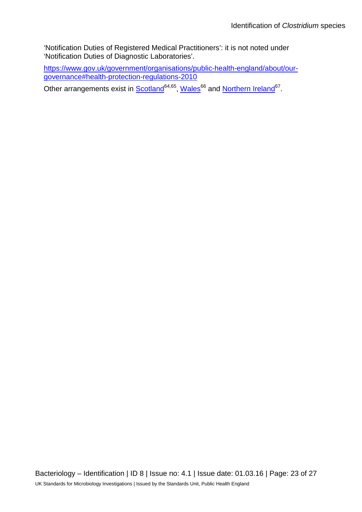'Notification Duties of Registered Medical Practitioners': it is not noted under 'Notification Duties of Diagnostic Laboratories'.

[https://www.gov.uk/government/organisations/public-health-england/about/our](https://www.gov.uk/government/organisations/public-health-england/about/our-governance#health-protection-regulations-2010)[governance#health-protection-regulations-2010](https://www.gov.uk/government/organisations/public-health-england/about/our-governance#health-protection-regulations-2010)

Other arrangements exist in **Scotland<sup>64,65</sup>, Wales<sup>66</sup> and [Northern Ireland](http://www.publichealth.hscni.net/directorate-public-health/health-protection)<sup>67</sup>.**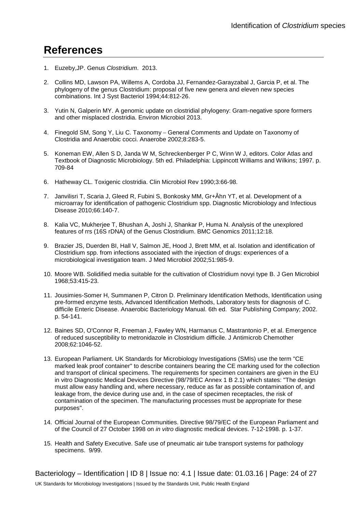## **References**

- 1. Euzeby,JP. Genus *Clostridium*. 2013.
- 2. Collins MD, Lawson PA, Willems A, Cordoba JJ, Fernandez-Garayzabal J, Garcia P, et al. The phylogeny of the genus Clostridium: proposal of five new genera and eleven new species combinations. Int J Syst Bacteriol 1994;44:812-26.
- 3. Yutin N, Galperin MY. A genomic update on clostridial phylogeny: Gram-negative spore formers and other misplaced clostridia. Environ Microbiol 2013.
- 4. Finegold SM, Song Y, Liu C. Taxonomy − General Comments and Update on Taxonomy of Clostridia and Anaerobic cocci. Anaerobe 2002;8:283-5.
- 5. Koneman EW, Allen S D, Janda W M, Schreckenberger P C, Winn W J, editors. Color Atlas and Textbook of Diagnostic Microbiology. 5th ed. Philadelphia: Lippincott Williams and Wilkins; 1997. p. 709-84
- 6. Hatheway CL. Toxigenic clostridia. Clin Microbiol Rev 1990;3:66-98.
- 7. Janvilisri T, Scaria J, Gleed R, Fubini S, Bonkosky MM, Gr+Âhn YT, et al. Development of a microarray for identification of pathogenic Clostridium spp. Diagnostic Microbiology and Infectious Disease 2010;66:140-7.
- 8. Kalia VC, Mukherjee T, Bhushan A, Joshi J, Shankar P, Huma N. Analysis of the unexplored features of rrs (16S rDNA) of the Genus Clostridium. BMC Genomics 2011;12:18.
- 9. Brazier JS, Duerden BI, Hall V, Salmon JE, Hood J, Brett MM, et al. Isolation and identification of Clostridium spp. from infections associated with the injection of drugs: experiences of a microbiological investigation team. J Med Microbiol 2002;51:985-9.
- 10. Moore WB. Solidified media suitable for the cultivation of Clostridium novyi type B. J Gen Microbiol 1968;53:415-23.
- 11. Jousimies-Somer H, Summanen P, Citron D. Preliminary Identification Methods, Identification using pre-formed enzyme tests, Advanced Identification Methods, Laboratory tests for diagnosis of C. difficile Enteric Disease. Anaerobic Bacteriology Manual. 6th ed. Star Publishing Company; 2002. p. 54-141.
- 12. Baines SD, O'Connor R, Freeman J, Fawley WN, Harmanus C, Mastrantonio P, et al. Emergence of reduced susceptibility to metronidazole in Clostridium difficile. J Antimicrob Chemother 2008;62:1046-52.
- 13. European Parliament. UK Standards for Microbiology Investigations (SMIs) use the term "CE marked leak proof container" to describe containers bearing the CE marking used for the collection and transport of clinical specimens. The requirements for specimen containers are given in the EU in vitro Diagnostic Medical Devices Directive (98/79/EC Annex 1 B 2.1) which states: "The design must allow easy handling and, where necessary, reduce as far as possible contamination of, and leakage from, the device during use and, in the case of specimen receptacles, the risk of contamination of the specimen. The manufacturing processes must be appropriate for these purposes".
- 14. Official Journal of the European Communities. Directive 98/79/EC of the European Parliament and of the Council of 27 October 1998 on *in vitro* diagnostic medical devices. 7-12-1998. p. 1-37.
- 15. Health and Safety Executive. Safe use of pneumatic air tube transport systems for pathology specimens. 9/99.

Bacteriology – Identification | ID 8 | Issue no: 4.1 | Issue date: 01.03.16 | Page: 24 of 27 UK Standards for Microbiology Investigations | Issued by the Standards Unit, Public Health England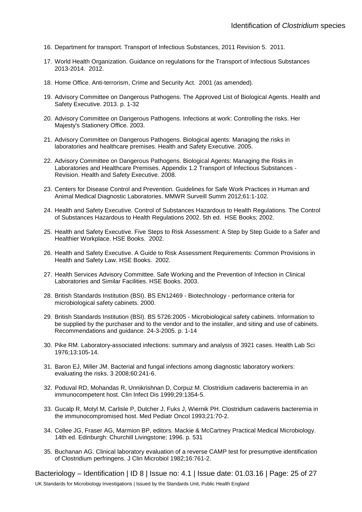- 16. Department for transport. Transport of Infectious Substances, 2011 Revision 5. 2011.
- 17. World Health Organization. Guidance on regulations for the Transport of Infectious Substances 2013-2014. 2012.
- 18. Home Office. Anti-terrorism, Crime and Security Act. 2001 (as amended).
- 19. Advisory Committee on Dangerous Pathogens. The Approved List of Biological Agents. Health and Safety Executive. 2013. p. 1-32
- 20. Advisory Committee on Dangerous Pathogens. Infections at work: Controlling the risks. Her Majesty's Stationery Office. 2003.
- 21. Advisory Committee on Dangerous Pathogens. Biological agents: Managing the risks in laboratories and healthcare premises. Health and Safety Executive. 2005.
- 22. Advisory Committee on Dangerous Pathogens. Biological Agents: Managing the Risks in Laboratories and Healthcare Premises. Appendix 1.2 Transport of Infectious Substances - Revision. Health and Safety Executive. 2008.
- 23. Centers for Disease Control and Prevention. Guidelines for Safe Work Practices in Human and Animal Medical Diagnostic Laboratories. MMWR Surveill Summ 2012;61:1-102.
- 24. Health and Safety Executive. Control of Substances Hazardous to Health Regulations. The Control of Substances Hazardous to Health Regulations 2002. 5th ed. HSE Books; 2002.
- 25. Health and Safety Executive. Five Steps to Risk Assessment: A Step by Step Guide to a Safer and Healthier Workplace. HSE Books. 2002.
- 26. Health and Safety Executive. A Guide to Risk Assessment Requirements: Common Provisions in Health and Safety Law. HSE Books. 2002.
- 27. Health Services Advisory Committee. Safe Working and the Prevention of Infection in Clinical Laboratories and Similar Facilities. HSE Books. 2003.
- 28. British Standards Institution (BSI). BS EN12469 Biotechnology performance criteria for microbiological safety cabinets. 2000.
- 29. British Standards Institution (BSI). BS 5726:2005 Microbiological safety cabinets. Information to be supplied by the purchaser and to the vendor and to the installer, and siting and use of cabinets. Recommendations and guidance. 24-3-2005. p. 1-14
- 30. Pike RM. Laboratory-associated infections: summary and analysis of 3921 cases. Health Lab Sci 1976;13:105-14.
- 31. Baron EJ, Miller JM. Bacterial and fungal infections among diagnostic laboratory workers: evaluating the risks. 3 2008;60:241-6.
- 32. Poduval RD, Mohandas R, Unnikrishnan D, Corpuz M. Clostridium cadaveris bacteremia in an immunocompetent host. Clin Infect Dis 1999;29:1354-5.
- 33. Gucalp R, Motyl M, Carlisle P, Dutcher J, Fuks J, Wiernik PH. Clostridium cadaveris bacteremia in the immunocompromised host. Med Pediatr Oncol 1993;21:70-2.
- 34. Collee JG, Fraser AG, Marmion BP, editors. Mackie & McCartney Practical Medical Microbiology. 14th ed. Edinburgh: Churchill Livingstone; 1996. p. 531
- 35. Buchanan AG. Clinical laboratory evaluation of a reverse CAMP test for presumptive identification of Clostridium perfringens. J Clin Microbiol 1982;16:761-2.

Bacteriology – Identification | ID 8 | Issue no: 4.1 | Issue date: 01.03.16 | Page: 25 of 27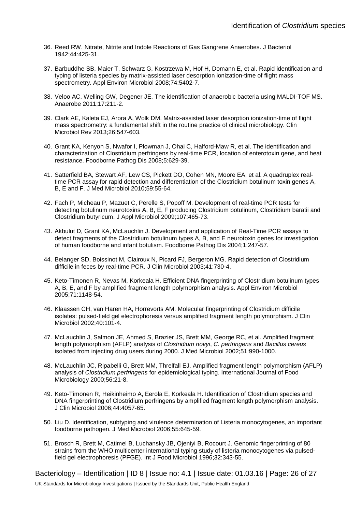- 36. Reed RW. Nitrate, Nitrite and Indole Reactions of Gas Gangrene Anaerobes. J Bacteriol 1942;44:425-31.
- 37. Barbuddhe SB, Maier T, Schwarz G, Kostrzewa M, Hof H, Domann E, et al. Rapid identification and typing of listeria species by matrix-assisted laser desorption ionization-time of flight mass spectrometry. Appl Environ Microbiol 2008;74:5402-7.
- 38. Veloo AC, Welling GW, Degener JE. The identification of anaerobic bacteria using MALDI-TOF MS. Anaerobe 2011;17:211-2.
- 39. Clark AE, Kaleta EJ, Arora A, Wolk DM. Matrix-assisted laser desorption ionization-time of flight mass spectrometry: a fundamental shift in the routine practice of clinical microbiology. Clin Microbiol Rev 2013;26:547-603.
- 40. Grant KA, Kenyon S, Nwafor I, Plowman J, Ohai C, Halford-Maw R, et al. The identification and characterization of Clostridium perfringens by real-time PCR, location of enterotoxin gene, and heat resistance. Foodborne Pathog Dis 2008;5:629-39.
- 41. Satterfield BA, Stewart AF, Lew CS, Pickett DO, Cohen MN, Moore EA, et al. A quadruplex realtime PCR assay for rapid detection and differentiation of the Clostridium botulinum toxin genes A, B, E and F. J Med Microbiol 2010;59:55-64.
- 42. Fach P, Micheau P, Mazuet C, Perelle S, Popoff M. Development of real-time PCR tests for detecting botulinum neurotoxins A, B, E, F producing Clostridium botulinum, Clostridium baratii and Clostridium butyricum. J Appl Microbiol 2009;107:465-73.
- 43. Akbulut D, Grant KA, McLauchlin J. Development and application of Real-Time PCR assays to detect fragments of the Clostridium botulinum types A, B, and E neurotoxin genes for investigation of human foodborne and infant botulism. Foodborne Pathog Dis 2004;1:247-57.
- 44. Belanger SD, Boissinot M, Clairoux N, Picard FJ, Bergeron MG. Rapid detection of Clostridium difficile in feces by real-time PCR. J Clin Microbiol 2003;41:730-4.
- 45. Keto-Timonen R, Nevas M, Korkeala H. Efficient DNA fingerprinting of Clostridium botulinum types A, B, E, and F by amplified fragment length polymorphism analysis. Appl Environ Microbiol 2005;71:1148-54.
- 46. Klaassen CH, van Haren HA, Horrevorts AM. Molecular fingerprinting of Clostridium difficile isolates: pulsed-field gel electrophoresis versus amplified fragment length polymorphism. J Clin Microbiol 2002;40:101-4.
- 47. McLauchlin J, Salmon JE, Ahmed S, Brazier JS, Brett MM, George RC, et al. Amplified fragment length polymorphism (AFLP) analysis of *Clostridium novyi*, *C. perfringens* and *Bacillus cereus* isolated from injecting drug users during 2000. J Med Microbiol 2002;51:990-1000.
- 48. McLauchlin JC, Ripabelli G, Brett MM, Threlfall EJ. Amplified fragment length polymorphism (AFLP) analysis of *Clostridium perfringens* for epidemiological typing. International Journal of Food Microbiology 2000;56:21-8.
- 49. Keto-Timonen R, Heikinheimo A, Eerola E, Korkeala H. Identification of Clostridium species and DNA fingerprinting of Clostridium perfringens by amplified fragment length polymorphism analysis. J Clin Microbiol 2006;44:4057-65.
- 50. Liu D. Identification, subtyping and virulence determination of Listeria monocytogenes, an important foodborne pathogen. J Med Microbiol 2006;55:645-59.
- 51. Brosch R, Brett M, Catimel B, Luchansky JB, Ojeniyi B, Rocourt J. Genomic fingerprinting of 80 strains from the WHO multicenter international typing study of listeria monocytogenes via pulsedfield gel electrophoresis (PFGE). Int J Food Microbiol 1996;32:343-55.

Bacteriology – Identification | ID 8 | Issue no: 4.1 | Issue date: 01.03.16 | Page: 26 of 27